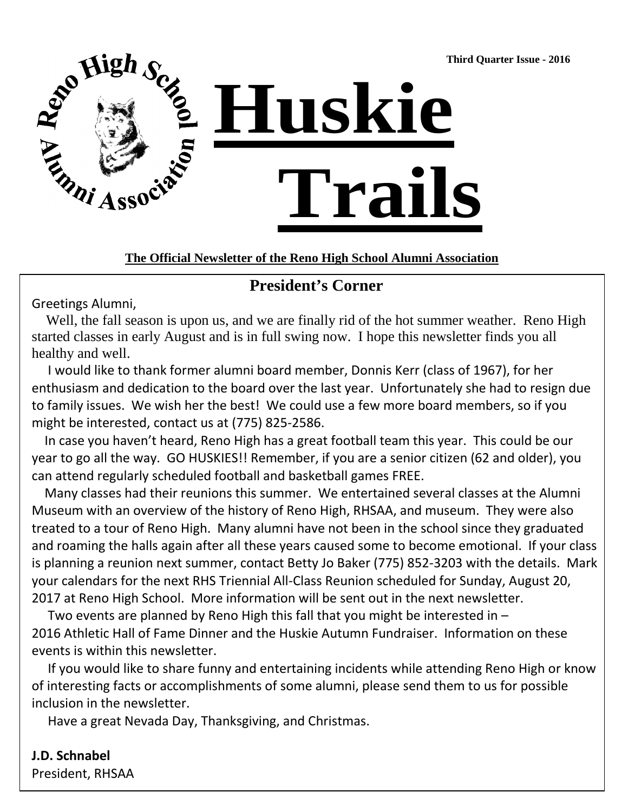**Third Quarter Issue - 2016** 



#### **The Official Newsletter of the Reno High School Alumni Association**

## **President's Corner**

Greetings Alumni,

Well, the fall season is upon us, and we are finally rid of the hot summer weather. Reno High started classes in early August and is in full swing now. I hope this newsletter finds you all healthy and well.

 I would like to thank former alumni board member, Donnis Kerr (class of 1967), for her enthusiasm and dedication to the board over the last year. Unfortunately she had to resign due to family issues. We wish her the best! We could use a few more board members, so if you might be interested, contact us at (775) 825-2586.

 In case you haven't heard, Reno High has a great football team this year. This could be our year to go all the way. GO HUSKIES!! Remember, if you are a senior citizen (62 and older), you can attend regularly scheduled football and basketball games FREE.

 Many classes had their reunions this summer. We entertained several classes at the Alumni Museum with an overview of the history of Reno High, RHSAA, and museum. They were also treated to a tour of Reno High. Many alumni have not been in the school since they graduated and roaming the halls again after all these years caused some to become emotional. If your class is planning a reunion next summer, contact Betty Jo Baker (775) 852-3203 with the details. Mark your calendars for the next RHS Triennial All-Class Reunion scheduled for Sunday, August 20, 2017 at Reno High School. More information will be sent out in the next newsletter.

 Two events are planned by Reno High this fall that you might be interested in – 2016 Athletic Hall of Fame Dinner and the Huskie Autumn Fundraiser. Information on these events is within this newsletter.

 If you would like to share funny and entertaining incidents while attending Reno High or know of interesting facts or accomplishments of some alumni, please send them to us for possible inclusion in the newsletter.

Have a great Nevada Day, Thanksgiving, and Christmas.

**J.D. Schnabel** President, RHSAA

 $\overline{a}$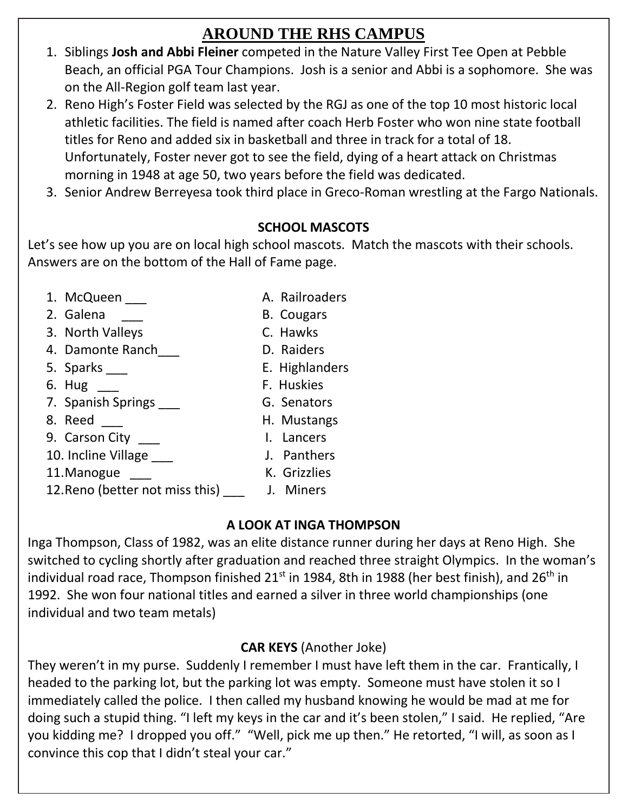# **AROUND THE RHS CAMPUS**

- 1. Siblings **Josh and Abbi Fleiner** competed in the Nature Valley First Tee Open at Pebble Beach, an official PGA Tour Champions. Josh is a senior and Abbi is a sophomore. She was on the All-Region golf team last year.
- 2. Reno High's Foster Field was selected by the RGJ as one of the top 10 most historic local athletic facilities. The field is named after coach Herb Foster who won nine state football titles for Reno and added six in basketball and three in track for a total of 18. Unfortunately, Foster never got to see the field, dying of a heart attack on Christmas morning in 1948 at age 50, two years before the field was dedicated.
- 3. Senior Andrew Berreyesa took third place in Greco-Roman wrestling at the Fargo Nationals.

## **SCHOOL MASCOTS**

Let's see how up you are on local high school mascots. Match the mascots with their schools. Answers are on the bottom of the Hall of Fame page.

- 1. McQueen A. Railroaders
- 2. Galena **B. Cougars**
- 3. North Valleys C. Hawks
- 4. Damonte Ranch\_\_\_ D. Raiders
- 
- 
- 7. Spanish Springs **by G. Senators**
- 
- 8. Reed \_\_\_ H. Mustangs<br>
9. Carson City \_\_\_ H. Lancers 9. Carson City
- 10. Incline Village \_\_\_ J. Panthers
- 11. Manogue **K.** Grizzlies
- 
- 
- 
- 
- 
- 12. Reno (better not miss this) J. Miners

## **A LOOK AT INGA THOMPSON**

Inga Thompson, Class of 1982, was an elite distance runner during her days at Reno High. She switched to cycling shortly after graduation and reached three straight Olympics. In the woman's individual road race, Thompson finished  $21^{st}$  in 1984, 8th in 1988 (her best finish), and  $26^{th}$  in 1992. She won four national titles and earned a silver in three world championships (one individual and two team metals)

# **CAR KEYS** (Another Joke)

They weren't in my purse. Suddenly I remember I must have left them in the car. Frantically, I headed to the parking lot, but the parking lot was empty. Someone must have stolen it so I immediately called the police. I then called my husband knowing he would be mad at me for doing such a stupid thing. "I left my keys in the car and it's been stolen," I said. He replied, "Are you kidding me? I dropped you off." "Well, pick me up then." He retorted, "I will, as soon as I convince this cop that I didn't steal your car."

- -
- 
- 5. Sparks \_\_\_ E. Highlanders
- 6. Hug F. Huskies
	-
	-
	-
	-
	-
	-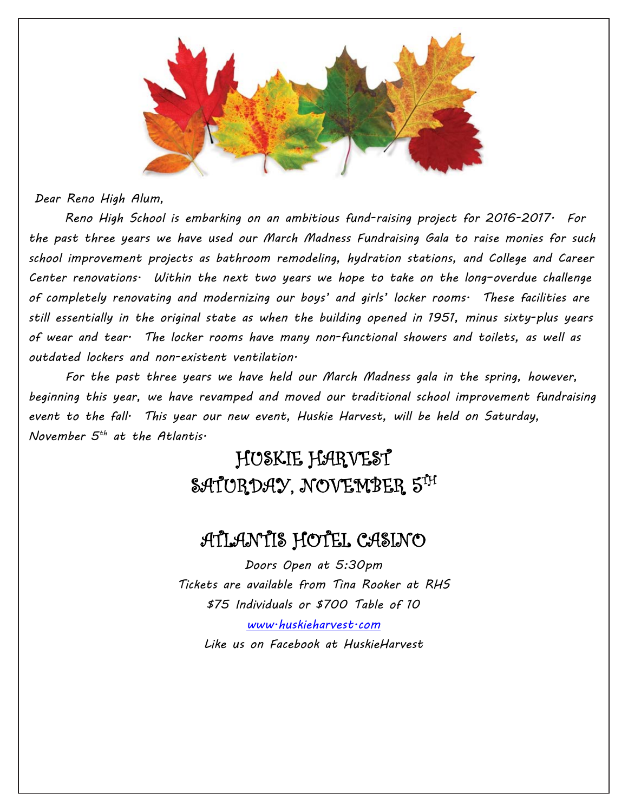

*Dear Reno High Alum,*

 *Reno High School is embarking on an ambitious fund-raising project for 2016-2017. For the past three years we have used our March Madness Fundraising Gala to raise monies for such school improvement projects as bathroom remodeling, hydration stations, and College and Career Center renovations. Within the next two years we hope to take on the long–overdue challenge of completely renovating and modernizing our boys' and girls' locker rooms. These facilities are still essentially in the original state as when the building opened in 1951, minus sixty-plus years of wear and tear. The locker rooms have many non-functional showers and toilets, as well as outdated lockers and non-existent ventilation.*

*For the past three years we have held our March Madness gala in the spring, however, beginning this year, we have revamped and moved our traditional school improvement fundraising event to the fall. This year our new event, Huskie Harvest, will be held on Saturday, November 5th at the Atlantis.* 

# HUSKIE HARVEST SATURDAY, NOVEMBER 5TH

# ATLANTIS HOTEL CASINO

*Doors Open at 5:30pm Tickets are available from Tina Rooker at RHS \$75 Individuals or \$700 Table of 10 [www.huskieharvest.com](http://www.huskieharvest.com/) Like us on Facebook at HuskieHarvest*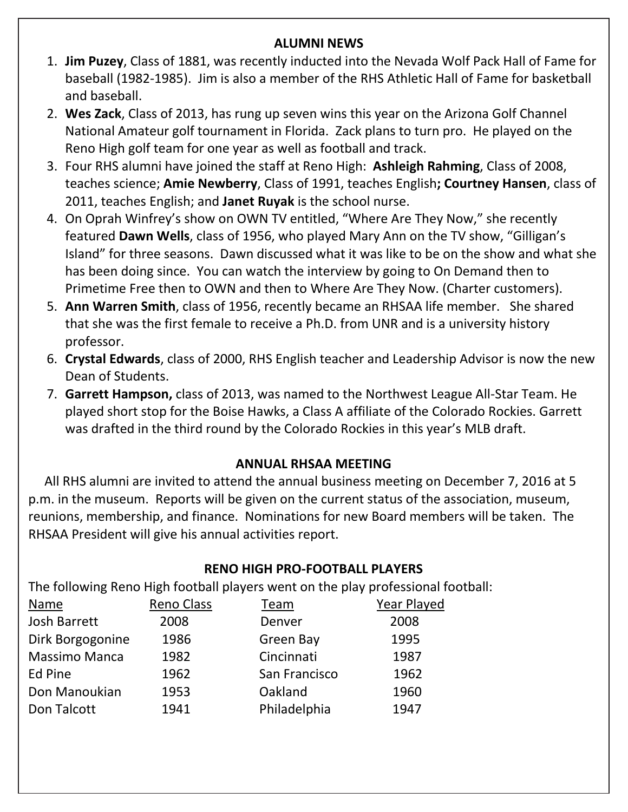#### **ALUMNI NEWS**

- 1. **Jim Puzey**, Class of 1881, was recently inducted into the Nevada Wolf Pack Hall of Fame for baseball (1982-1985). Jim is also a member of the RHS Athletic Hall of Fame for basketball and baseball.
- 2. **Wes Zack**, Class of 2013, has rung up seven wins this year on the Arizona Golf Channel National Amateur golf tournament in Florida. Zack plans to turn pro. He played on the Reno High golf team for one year as well as football and track.
- 3. Four RHS alumni have joined the staff at Reno High: **Ashleigh Rahming**, Class of 2008, teaches science; **Amie Newberry**, Class of 1991, teaches English**; Courtney Hansen**, class of 2011, teaches English; and **Janet Ruyak** is the school nurse.
- 4. On Oprah Winfrey's show on OWN TV entitled, "Where Are They Now," she recently featured **Dawn Wells**, class of 1956, who played Mary Ann on the TV show, "Gilligan's Island" for three seasons. Dawn discussed what it was like to be on the show and what she has been doing since. You can watch the interview by going to On Demand then to Primetime Free then to OWN and then to Where Are They Now. (Charter customers).
- 5. **Ann Warren Smith**, class of 1956, recently became an RHSAA life member. She shared that she was the first female to receive a Ph.D. from UNR and is a university history  $\mathsf{pro}$ ressor. $\mathsf{pro}$ ressor. professor.
- 6. Crystal Edwards, class of 2000, RHS English teacher and Leadership Advisor is now the new 1951 - 65 Years 10 September – 851-3203 September 10 September 10 September 10 September 10 September 10 September 10
- 7. Garrett Hampson, class of 2013, was named to the Northwest League All-Star Team. He .<br>was drafted in the third round by the Colorado Rockies in this year's MLB draft. played short stop for the Boise Hawks, a Class A affiliate of the Colorado Rockies. Garrett

### **ANNUAL RHSAA MEETING**

 All RHS alumni are invited to attend the annual business meeting on December 7, 2016 at 5 p.m. in the museum. Reports will be given on the current status of the association, museum, reunions, membership, and finance. Nominations for new Board members will be taken. The RHSAA President will give his annual activities report.

### **RENO HIGH PRO-FOOTBALL PLAYERS**

The following Reno High football players went on the play professional football:

| <b>Name</b>          | Reno Class | Team          | Year Played |  |
|----------------------|------------|---------------|-------------|--|
| <b>Josh Barrett</b>  | 2008       | Denver        | 2008        |  |
| Dirk Borgogonine     | 1986       | Green Bay     | 1995        |  |
| <b>Massimo Manca</b> | 1982       | Cincinnati    | 1987        |  |
| Ed Pine              | 1962       | San Francisco | 1962        |  |
| Don Manoukian        | 1953       | Oakland       | 1960        |  |
| Don Talcott          | 1941       | Philadelphia  | 1947        |  |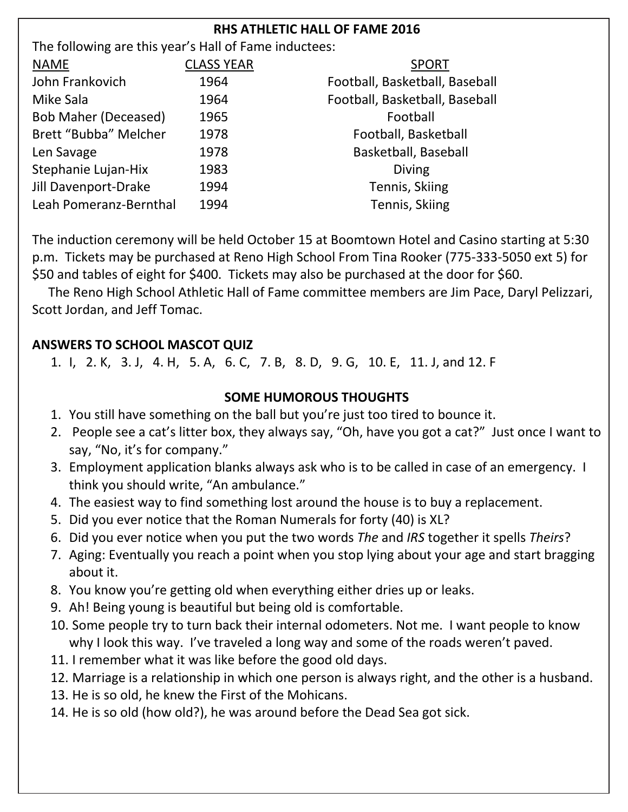### **RHS ATHLETIC HALL OF FAME 2016**

| The following are this year's Hall of Fame inductees: |                   |                                |
|-------------------------------------------------------|-------------------|--------------------------------|
| <b>NAME</b>                                           | <b>CLASS YEAR</b> | <b>SPORT</b>                   |
| John Frankovich                                       | 1964              | Football, Basketball, Baseball |
| Mike Sala                                             | 1964              | Football, Basketball, Baseball |
| <b>Bob Maher (Deceased)</b>                           | 1965              | Football                       |
| Brett "Bubba" Melcher                                 | 1978              | Football, Basketball           |
| Len Savage                                            | 1978              | Basketball, Baseball           |
| Stephanie Lujan-Hix                                   | 1983              | <b>Diving</b>                  |
| Jill Davenport-Drake                                  | 1994              | Tennis, Skiing                 |
| Leah Pomeranz-Bernthal                                | 1994              | Tennis, Skiing                 |

The induction ceremony will be held October 15 at Boomtown Hotel and Casino starting at 5:30 p.m. Tickets may be purchased at Reno High School From Tina Rooker (775-333-5050 ext 5) for \$50 and tables of eight for \$400. Tickets may also be purchased at the door for \$60.

 The Reno High School Athletic Hall of Fame committee members are Jim Pace, Daryl Pelizzari, Scott Jordan, and Jeff Tomac.

### **ANSWERS TO SCHOOL MASCOT QUIZ**

1. I, 2. K, 3. J, 4. H, 5. A, 6. C, 7. B, 8. D, 9. G, 10. E, 11. J, and 12. F

### **SOME HUMOROUS THOUGHTS**

- 1. You still have something on the ball but you're just too tired to bounce it.
- 2. People see a cat's litter box, they always say, "Oh, have you got a cat?" Just once I want to say, "No, it's for company."
- think you should write, "An ambulance." 3. Employment application blanks always ask who is to be called in case of an emergency. I
- 4. The easiest way to find something lost around the house is to buy a replacement.
- 5. Did you ever notice that the Roman Numerals for forty (40) is XL?
- 6. Did you ever notice when you put the two words *The* and *IRS* together it spells *Theirs*?
- 7. Aging: Eventually you reach a point when you stop lying about your age and start bragging about it.
- 8. You know you're getting old when everything either dries up or leaks.
- 9. Ah! Being young is beautiful but being old is comfortable.
- 10. Some people try to turn back their internal odometers. Not me. I want people to know why I look this way. I've traveled a long way and some of the roads weren't paved.
- 11. I remember what it was like before the good old days.
- 12. Marriage is a relationship in which one person is always right, and the other is a husband.
- 13. He is so old, he knew the First of the Mohicans.
- 14. He is so old (how old?), he was around before the Dead Sea got sick.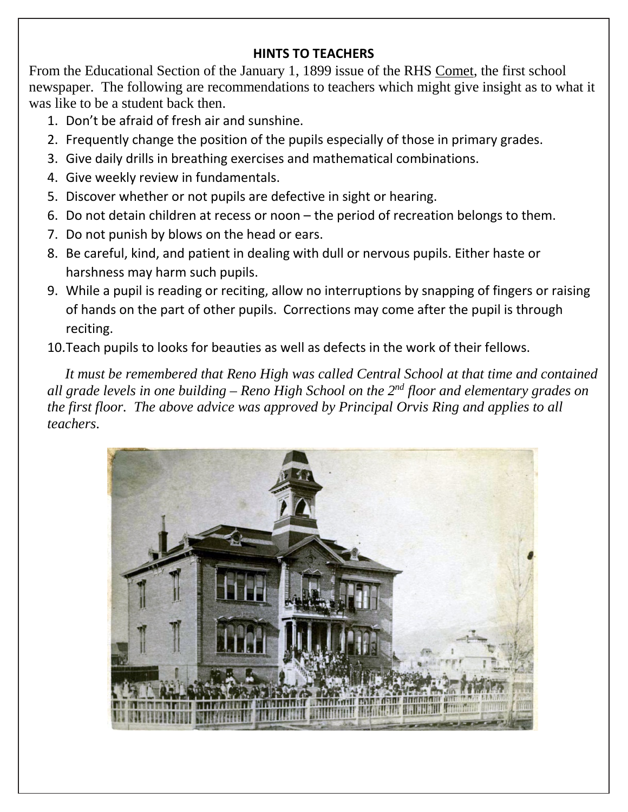#### **HINTS TO TEACHERS**

From the Educational Section of the January 1, 1899 issue of the RHS Comet, the first school newspaper. The following are recommendations to teachers which might give insight as to what it was like to be a student back then.

- 1. Don't be afraid of fresh air and sunshine.
- 2. Frequently change the position of the pupils especially of those in primary grades.
- 3. Give daily drills in breathing exercises and mathematical combinations.
- 4. Give weekly review in fundamentals.
- 5. Discover whether or not pupils are defective in sight or hearing.
- 6. Do not detain children at recess or noon the period of recreation belongs to them.
- 7. Do not punish by blows on the head or ears.
- 8. Be careful, kind, and patient in dealing with dull or nervous pupils. Either haste or harshness may harm such pupils.
- 9. While a pupil is reading or reciting, allow no interruptions by snapping of fingers or raising of hands on the part of other pupils. Corrections may come after the pupil is through reciting.
- 10.Teach pupils to looks for beauties as well as defects in the work of their fellows.

 *It must be remembered that Reno High was called Central School at that time and contained all grade levels in one building – Reno High School on the 2nd floor and elementary grades on the first floor. The above advice was approved by Principal Orvis Ring and applies to all teachers*.

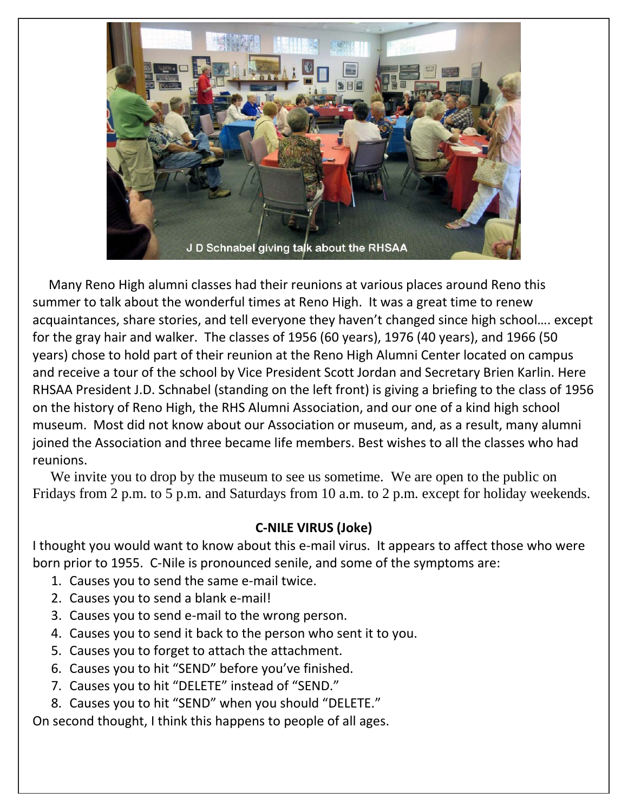

 Many Reno High alumni classes had their reunions at various places around Reno this summer to talk about the wonderful times at Reno High. It was a great time to renew acquaintances, share stories, and tell everyone they haven't changed since high school…. except for the gray hair and walker. The classes of 1956 (60 years), 1976 (40 years), and 1966 (50 years) chose to hold part of their reunion at the Reno High Alumni Center located on campus and receive a tour of the school by Vice President Scott Jordan and Secretary Brien Karlin. Here RHSAA President J.D. Schnabel (standing on the left front) is giving a briefing to the class of 1956 on the history of Reno High, the RHS Alumni Association, and our one of a kind high school museum. Most did not know about our Association or museum, and, as a result, many alumni joined the Association and three became life members. Best wishes to all the classes who had reunions.

We invite you to drop by the museum to see us sometime. We are open to the public on Fridays from 2 p.m. to 5 p.m. and Saturdays from 10 a.m. to 2 p.m. except for holiday weekends.

### **C-NILE VIRUS (Joke)**

I thought you would want to know about this e-mail virus. It appears to affect those who were born prior to 1955. C-Nile is pronounced senile, and some of the symptoms are:

- 1. Causes you to send the same e-mail twice.
- 2. Causes you to send a blank e-mail!
- 3. Causes you to send e-mail to the wrong person.
- 4. Causes you to send it back to the person who sent it to you.
- 5. Causes you to forget to attach the attachment.
- 6. Causes you to hit "SEND" before you've finished.
- 7. Causes you to hit "DELETE" instead of "SEND."
- 8. Causes you to hit "SEND" when you should "DELETE."

On second thought, I think this happens to people of all ages.